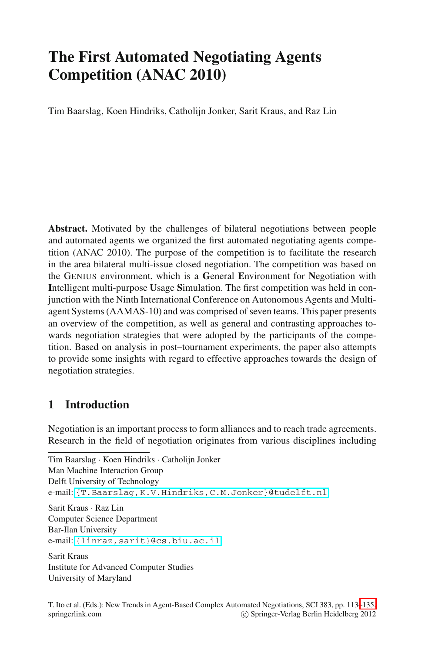# **The First Automated Negotiating Agents Competition (ANAC 2010)**

Tim Baarslag, Koen Hindriks, Catholijn Jonker, Sarit Kraus, and Raz Lin

**Abstract.** Motivated by the challenges of bilateral negotiations between people and automated agents we organized the first automated negotiating agents competition (ANAC 2010). The purpose of the competition is to facilitate the research in the area bilateral multi-issue closed negotiation. The competition was based on the GENIUS environment, which is a **G**eneral **E**nvironment for **N**egotiation with **I**ntelligent multi-purpose **U**sage **S**imulation. The first competition was held in conjunction with the Ninth International Conference on Autonomous Agents and Multiagent Systems (AAMAS-10) and was comprised of seven teams. This paper presents an overview of the competition, as well as general and contrasting approaches towards negotiation strategies that were adopted by the participants of the competition. Based on analysis in post–tournament experiments, the paper also attempts to provide some insights with regard to effective approaches towards the design of negotiation strategies.

# **[1]({T.Baarslag, K.V.Hindriks, C.M.Jonker}@tudelft.nl) [Introduction]({T.Baarslag, K.V.Hindriks, C.M.Jonker}@tudelft.nl)**

Negotiation is an important process to form alliances and to reach trade agreements. [Research]({linraz,sarit}@cs.biu.ac.il) [in]({linraz,sarit}@cs.biu.ac.il) [the]({linraz,sarit}@cs.biu.ac.il) [field]({linraz,sarit}@cs.biu.ac.il) [o]({linraz,sarit}@cs.biu.ac.il)f negotiation originates from various disciplines including

Tim Baarslag · Koen Hindriks · Catholijn Jonker Man Machine Interaction Group Delft University of Technology e-mail: {T.Baarslag,K.V.Hindriks,C.M.Jonker}@tudelft.nl

Sarit Kraus · Raz Lin Computer Science Department Bar-Ilan University e-mail: {linraz,sarit}@cs.biu.ac.il

Sarit Kraus Institute for Advanced Computer Studies University of Maryland

T. Ito et al. (Eds.): New Trends in Agent-Based Complex Automated Negotiations, SCI 383, pp. 113–135. springerlink.com c Springer-Verlag Berlin Heidelberg 2012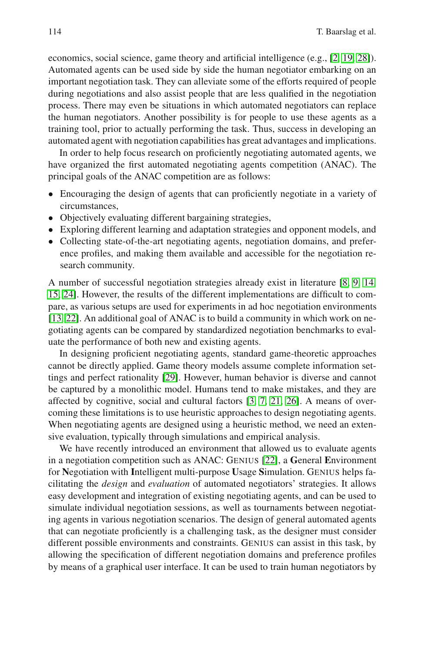economics, social science, game theory and artificial intelligence (e.g., [2, 19, 28]). Automated agents can be used side by side the human negotiator embarking on an important negotiation task. They can alleviate some of the efforts required of people during negotiations and also assist people that are less qualified in the negotiation process. There may even be situations in which automated negotiators can replace the human negotiators. Another possibility is for people to use these agents as a training tool, prior to actually performing the task. Thus, success in developing an automated agent with negotiation capabilities has great advantages and implications.

In order to help focus research on proficiently negotiating automated agents, we have organized the first automated negotiating agents competition (ANAC). The principal goals of the ANAC competition are as follows:

- Encouraging the design of agents that can profici[en](#page-21-0)t[ly](#page-21-1) [neg](#page-21-2)otiate in a variety of circumstances,
- Objectively evaluating different bargaining strategies,
- Exploring different learning and adaptation strategies and opponent models, and
- Collecting state-of-the-art negotiating agents, negotiation domains, and preference profiles, and making them available and accessible for the negotiation research community.

A numb[er o](#page-22-0)f successful negotiation strategies already exist in literature [8, 9, 14, 15, 24]. However, the results of the different implementations are difficult to compare, as various setups are use[d](#page-20-0) f[or](#page-21-3) [exp](#page--1-0)[erim](#page-22-1)ents in ad hoc negotiation environments [13, 22]. An additional goal of ANAC is to build a community in which work on negotiating agents can be compared by standardized negotiation benchmarks to evaluate the performance of both new and existing agents.

In designing proficient negotiating agents, standard game-theoretic approaches cannot be directly applied. Game [the](#page-21-4)ory models assume complete information settings and perfect rationality [29]. However, human behavior is diverse and cannot be captured by a monolithic model. Humans tend to make mistakes, and they are affected by cognitive, social and cultural factors [3, 7, 21, 26]. A means of overcoming these limitations is to use heuristic approaches to design negotiating agents. When negotiating agents are designed using a heuristic method, we need an extensive evaluation, typically through simulations and empirical analysis.

We have recently introduced an environment that allowed us to evaluate agents in a negotiation competition such as ANAC: GENIUS [22], a **G**eneral **E**nvironment for **N**egotiation with **I**ntelligent multi-purpose **U**sage **S**imulation. GENIUS helps facilitating the *design* and *evaluation* of automated negotiators' strategies. It allows easy development and integration of existing negotiating agents, and can be used to simulate individual negotiation sessions, as well as tournaments between negotiating agents in various negotiation scenarios. The design of general automated agents that can negotiate proficiently is a challenging task, as the designer must consider different possible environments and constraints. GENIUS can assist in this task, by allowing the specification of different negotiation domains and preference profiles by means of a graphical user interface. It can be used to train human negotiators by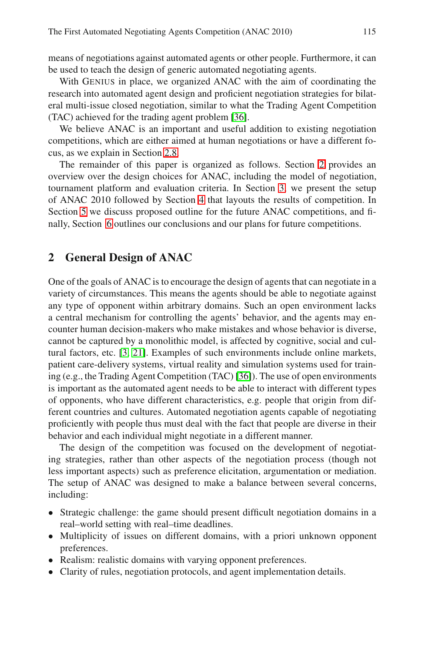means o[f neg](#page-8-0)otiations against automated agents or other people. Furthermore, it can be used to teach the design of generic automate[d n](#page--1-2)egotiating agents.

With GENIUS in place, we organized ANAC with the aim of coordinating the research into automated agent design [an](#page--1-2)d proficient negotiation strategies for bilateral multi-issue [clo](#page--1-3)sed negotiation, similar to what the Trading Agent Competition (TAC) achieved for the trading agent problem [36].

We believe ANAC is an important and useful addition to existing negotiation competitions, which are either aimed at human negotiations or have a different focus, as we explain in Section 2.8.

The remainder of this paper is organized as follows. Section 2 provides an overview over the design choices for ANAC, including the model of negotiation, tournament platform and evaluation criteria. In Section 3, we present the setup of ANAC 2010 followed by Section 4 that layouts the results of competition. In Section 5 we discuss proposed outline for the future ANAC competitions, and finally, Section 6 outlines our conclusions and our plans for future competitions.

## **[2](#page--1-0) General Design of ANAC**

One of the goals of ANAC i[s to](#page--1-1) encourage the design of agents that can negotiate in a variety of circumstances. This means the agents should be able to negotiate against any type of opponent within arbitrary domains. Such an open environment lacks a central mechanism for controlling the agents' behavior, and the agents may encounter human decision-makers who make mistakes and whose behavior is diverse, cannot be captured by a monolithic model, is affected by cognitive, social and cultural factors, etc. [3, 21]. Examples of such environments include online markets, patient care-delivery systems, virtual reality and simulation systems used for training (e.g., the Trading Agent Competition (TAC) [36]). The use of open environments is important as the automated agent needs to be able to interact with different types of opponents, who have different characteristics, e.g. people that origin from different countries and cultures. Automated negotiation agents capable of negotiating proficiently with people thus must deal with the fact that people are diverse in their behavior and each individual might negotiate in a different manner.

The design of the competition was focused on the development of negotiating strategies, rather than other aspects of the negotiation process (though not less important aspects) such as preference elicitation, argumentation or mediation. The setup of ANAC was designed to make a balance between several concerns, including:

- Strategic challenge: the game should present difficult negotiation domains in a real–world setting with real–time deadlines.
- Multiplicity of issues on different domains, with a priori unknown opponent preferences.
- Realism: realistic domains with varying opponent preferences.
- Clarity of rules, negotiation protocols, and agent implementation details.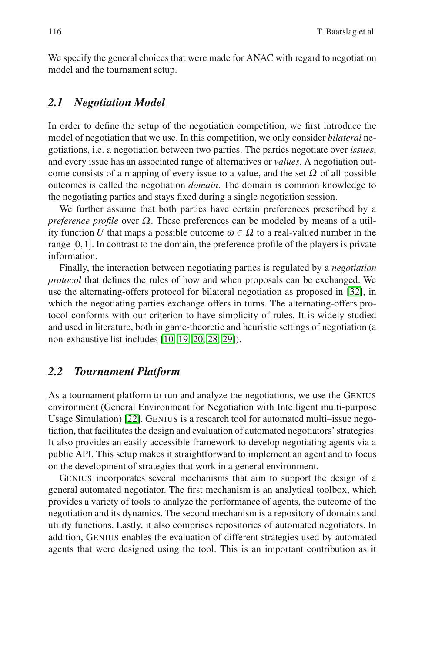We specify the general choices that were made for ANAC with regard to negotiation model and the tournament setup.

### *2.1 Negotiation Model*

In order to define the setup of the negotiation competition, we first introduce the model of negotiation that we use. In this competition, we only consider *bilateral* negotiations, i.e. a negotiation between two parties. The parties negotiate over *issues*, and every issue has an associated range of alternatives or *values*. A negotiation outcome consists of a mapping of every issue to a value, and the set  $\Omega$  of all possible outcomes is called the negotiation *domain*. The domain is common knowledge to the negotiating parties and stays fixed during a single n[egot](#page-22-2)iation session.

We further assume that both parties have certain preferences prescribed by a *preference profile* over  $\Omega$ . These preferences can be modeled by means of a utility function *U* that maps a possible outcome  $\omega \in \Omega$  to a real-valued number in the range [0,[1](#page-21-5)]. [In](#page-21-6) [cont](#page-21-7)[rast](#page-22-3) [to t](#page-22-0)he domain, the preference profile of the players is private information.

Finally, the interaction between negotiating parties is regulated by a *negotiation protocol* that defines the rules of how and when proposals can be exchanged. We use the alternating-offers protocol for bilateral negotiation as proposed in [32], in which the negotiating parties exchange offers in turns. The alternating-offers protocol conforms with our criterion to have simplicity of rules. It is widely studied [an](#page-21-4)d used in literature, both in game-theoretic and heuristic settings of negotiation (a non-exhaustive list includes [10, 19, 20, 28, 29]).

### *2.2 Tournament Platform*

As a tournament platform to run and analyze the negotiations, we use the GENIUS environment (General Environment for Negotiation with Intelligent multi-purpose Usage Simulation) [22]. GENIUS is a research tool for automated multi–issue negotiation, that facilitates the design and evaluation of automated negotiators' strategies. It also provides an easily accessible framework to develop negotiating agents via a public API. This setup makes it straightforward to implement an agent and to focus on the development of strategies that work in a general environment.

GENIUS incorporates several mechanisms that aim to support the design of a general automated negotiator. The first mechanism is an analytical toolbox, which provides a variety of tools to analyze the performance of agents, the outcome of the negotiation and its dynamics. The second mechanism is a repository of domains and utility functions. Lastly, it also comprises repositories of automated negotiators. In addition, GENIUS enables the evaluation of different strategies used by automated agents that were designed using the tool. This is an important contribution as it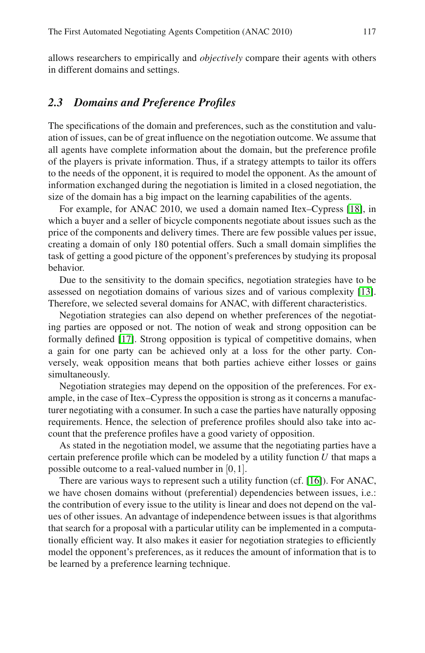<span id="page-4-0"></span>allows researchers to empirically and *objectively* compare their agents with others in different domains and settings.

# *2.3 Domains and Preference Profiles*

The specifications of the domain and preferences, such [as](#page-21-8) [th](#page-21-8)e constitution and valuation of issues, can be of great influence on the negotiation outcome. We assume that all agents have complete information about the domain, but the preference profile of the players is private information. Thus, if a strategy attempts to tailor its offers to the needs of the opponent, it is required to model the opponent. As the amount of information exchanged during the negotiation is limited in a closed negotiation, the size of the domain has a big impact on the learning capabi[litie](#page-21-9)s of the agents.

For example, for ANAC 2010, we used a domain named Itex–Cypress [18], in which a buyer and a seller of bicycle components negotiate about issues such as the price of the components and delivery times. There are few possible values per issue, [c](#page-21-10)reating a domain of only 180 potential offers. Such a small domain simplifies the task of getting a good picture of the opponent's preferences by studying its proposal behavior.

Due to the sensitivity to the domain specifics, negotiation strategies have to be assessed on negotiation domains of various sizes and of various complexity [13]. Therefore, we selected several domains for ANAC, with different characteristics.

Negotiation strategies can also depend on whether preferences of the negotiating parties are opposed or not. The notion of weak and strong opposition can be formally defined [17]. Strong opposition is typical of competitive domains, when a gain for one party can be achieved only at a loss for the other party. Conversely, weak opposition means that both parties achieve either losses or gains simultaneously.

Negotiation strategies may depend on the [opp](#page-21-11)osition of the preferences. For example, in the case of Itex–Cypress the opposition is strong as it concerns a manufacturer negotiating with a consumer. In such a case the parties have naturally opposing requirements. Hence, the selection of preference profiles should also take into account that the preference profiles have a good variety of opposition.

As stated in the negotiation model, we assume that the negotiating parties have a certain preference profile which can be modeled by a utility function *U* that maps a possible outcome to a real-valued number in [0,1].

There are various ways to represent such a utility function (cf. [16]). For ANAC, we have chosen domains without (preferential) dependencies between issues, i.e.: the contribution of every issue to the utility is linear and does not depend on the values of other issues. An advantage of independence between issues is that algorithms that search for a proposal with a particular utility can be implemented in a computationally efficient way. It also makes it easier for negotiation strategies to efficiently model the opponent's preferences, as it reduces the amount of information that is to be learned by a preference learning technique.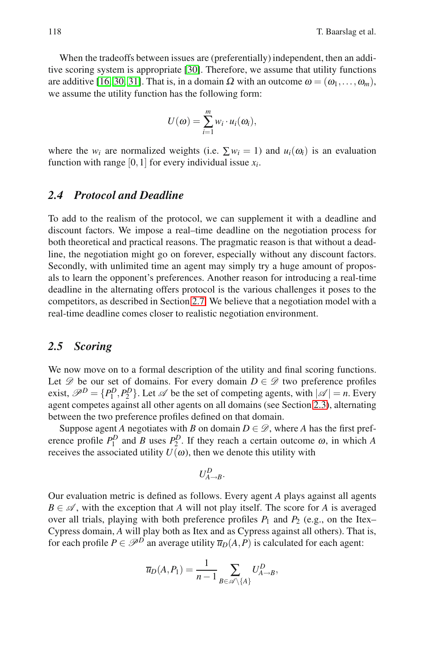When the tradeoffs between issues are (preferentially) independent, then an additive scoring system is appropriate [30]. Therefore, we assume that utility functions are additive [16, 30, 31]. That is, in a domain  $\Omega$  with an outcome  $\omega = (\omega_1, \dots, \omega_m)$ , we assume the utility function has the following form:

$$
U(\omega)=\sum_{i=1}^m w_i\cdot u_i(\omega_i),
$$

where the  $w_i$  are normalized weights (i.e.  $\sum w_i = 1$ ) and  $u_i(\omega_i)$  is an evaluation function with range  $[0,1]$  for every individual issue  $x_i$ .

## *2.4 Protocol and Deadline*

<span id="page-5-0"></span>To add to the [reali](#page-7-0)sm of the protocol, we can supplement it with a deadline and discount factors. We impose a real–time deadline on the negotiation process for both theoretical and practical reasons. The pragmatic reason is that without a deadline, the negotiation might go on forever, especially without any discount factors. Secondly, with unlimited time an agent may simply try a huge amount of proposals to learn the opponent's preferences. Another reason for introducing a real-time deadline in the alternating offers protocol is the various challenges it poses to the competitors, as described in Section 2.7. We believe that a negotiation model with a real-time deadline comes closer to realistic ne[gotia](#page-4-0)tion environment.

### *2.5 Scoring*

We now move on to a formal description of the utility and final scoring functions. Let  $\mathscr D$  be our set of domains. For every domain  $D \in \mathscr D$  two preference profiles exist,  $\mathscr{P}^D = \{P_1^D, P_2^D\}$ . Let  $\mathscr{A}$  be the set of competing agents, with  $|\mathscr{A}| = n$ . Every agent competes against all other agents on all domains (see Section 2.3), alternating between the two preference profiles defined on that domain.

Suppose agent *A* negotiates with *B* on domain  $D \in \mathcal{D}$ , where *A* has the first preference profile  $P_1^D$  and *B* uses  $P_2^D$ . If they reach a certain outcome  $\omega$ , in which *A* receives the associated utility  $U(\omega)$ , then we denote this utility with

$$
U_{A\rightarrow B}^D.
$$

Our evaluation metric is defined as follows. Every agent *A* plays against all agents  $B \in \mathscr{A}$ , with the exception that *A* will not play itself. The score for *A* is averaged over all trials, playing with both preference profiles  $P_1$  and  $P_2$  (e.g., on the Itex– Cypress domain, *A* will play both as Itex and as Cypress against all others). That is, for each profile  $P \in \mathcal{P}^D$  an average utility  $\overline{u}_D(A, P)$  is calculated for each agent:

$$
\overline{u}_D(A, P_1) = \frac{1}{n-1} \sum_{B \in \mathscr{A} \setminus \{A\}} U_{A \to B}^D,
$$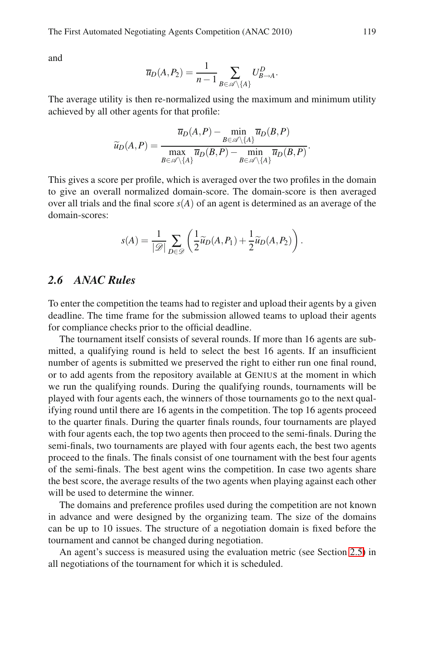and

$$
\overline{u}_D(A, P_2) = \frac{1}{n-1} \sum_{B \in \mathscr{A} \setminus \{A\}} U_{B \to A}^D.
$$

The average utility is then re-normalized using the maximum and minimum utility achieved by all other agents for that profile:

$$
\widetilde{u}_D(A,P) = \frac{\overline{u}_D(A,P) - \min_{B \in \mathscr{A} \setminus \{A\}} \overline{u}_D(B,P)}{\max_{B \in \mathscr{A} \setminus \{A\}} \overline{u}_D(B,P) - \min_{B \in \mathscr{A} \setminus \{A\}} \overline{u}_D(B,P)}.
$$

This gives a score per profile, which is averaged over the two profiles in the domain to give an overall normalized domain-score. The domain-score is then averaged over all trials and the final score  $s(A)$  of an agent is determined as an average of the domain-scores:

$$
s(A) = \frac{1}{|\mathscr{D}|} \sum_{D \in \mathscr{D}} \left( \frac{1}{2} \widetilde{u}_D(A, P_1) + \frac{1}{2} \widetilde{u}_D(A, P_2) \right).
$$

### *2.6 ANAC Rules*

To enter the competition the teams had to register and upload their agents by a given deadline. The time frame for the submission allowed teams to upload their agents for compliance checks prior to the official deadline.

The tournament itself consists of several rounds. If more than 16 agents are submitted, a qualifying round is held to select the best 16 agents. If an insufficient number of agents is submitted we preserved the right to either run one final round, or to add agents from the repository available at GENIUS at the moment in which we run the qualifying rounds. During the qualifying rounds, tournaments will be played with four agents each, the winners of those tournaments go to the next qualifying round until there are 16 agents in the competition. The top 16 agents proceed to the quarter finals. During the quarter finals rounds, four tournaments are played with four agents each, the top two agents then proceed to the semi-finals. During the semi-finals, two tournaments are played with four agents each, the best two agents proceed to the finals. The finals consist of one tournam[ent w](#page-5-0)ith the best four agents of the semi-finals. The best agent wins the competition. In case two agents share the best score, the average results of the two agents when playing against each other will be used to determine the winner.

The domains and preference profiles used during the competition are not known in advance and were designed by the organizing team. The size of the domains can be up to 10 issues. The structure of a negotiation domain is fixed before the tournament and cannot be changed during negotiation.

An agent's success is measured using the evaluation metric (see Section 2.5) in all negotiations of the tournament for which it is scheduled.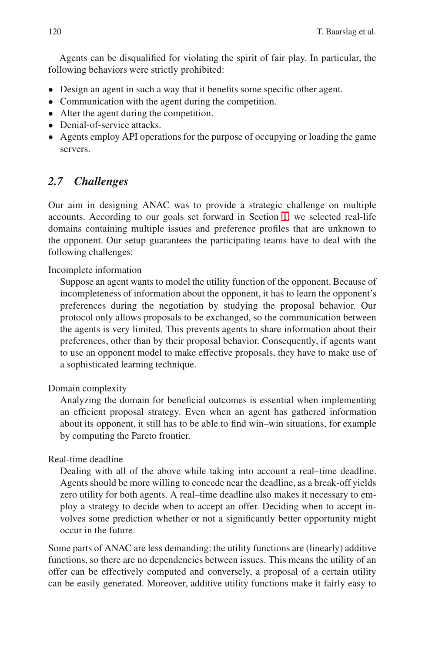Agents can be disqualified for violating the spirit of fair play. In particular, the following behaviors were strictly prohibited:

- <span id="page-7-0"></span>• Design an agent in such a way that it benefits some specific other agent.
- Communication with the agent during the competition.
- Alter the agent during the competition.
- Denial-of-service attacks.
- Agents employ API operations for the purpose of occupying or loading the game servers.

### *2.7 Challenges*

Our aim in designing ANAC was to provide a strategic challenge on multiple accounts. According to our goals set forward in Section 1, we selected real-life domains containing multiple issues and preference profiles that are unknown to the opponent. Our setup guarantees the participating teams have to deal with the following challenges:

#### Incomplete information

Suppose an agent wants to model the utility function of the opponent. Because of incompleteness of information about the opponent, it has to learn the opponent's preferences during the negotiation by studying the proposal behavior. Our protocol only allows proposals to be exchanged, so the communication between the agents is very limited. This prevents agents to share information about their preferences, other than by their proposal behavior. Consequently, if agents want to use an opponent model to make effective proposals, they have to make use of a sophisticated learning technique.

#### Domain complexity

Analyzing the domain for beneficial outcomes is essential when implementing an efficient proposal strategy. Even when an agent has gathered information about its opponent, it still has to be able to find win–win situations, for example by computing the Pareto frontier.

#### Real-time deadline

Dealing with all of the above while taking into account a real–time deadline. Agents should be more willing to concede near the deadline, as a break-off yields zero utility for both agents. A real–time deadline also makes it necessary to employ a strategy to decide when to accept an offer. Deciding when to accept involves some prediction whether or not a significantly better opportunity might occur in the future.

Some parts of ANAC are less demanding: the utility functions are (linearly) additive functions, so there are no dependencies between issues. This means the utility of an offer can be effectively computed and conversely, a proposal of a certain utility can be easily generated. Moreover, additive utility functions make it fairly easy to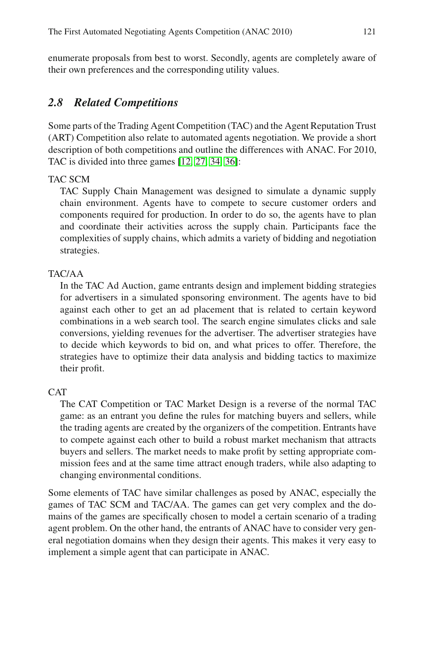<span id="page-8-0"></span>enumerate proposals from best to worst. Secondly, agents are completely aware of their own pr[efer](#page-21-12)[enc](#page-22-4)[es a](#page-22-5)[nd t](#page--1-1)he corresponding utility values.

# *2.8 Related Competitions*

Some parts of the Trading Agent Competition (TAC) and the Agent Reputation Trust (ART) Competition also relate to automated agents negotiation. We provide a short description of both competitions and outline the differences with ANAC. For 2010, TAC is divided into three games [12, 27, 34, 36]:

#### TAC SCM

TAC Supply Chain Management was designed to simulate a dynamic supply chain environment. Agents have to compete to secure customer orders and components required for production. In order to do so, the agents have to plan and coordinate their activities across the supply chain. Participants face the complexities of supply chains, which admits a variety of bidding and negotiation strategies.

### TAC/AA

In the TAC Ad Auction, game entrants design and implement bidding strategies for advertisers in a simulated sponsoring environment. The agents have to bid against each other to get an ad placement that is related to certain keyword combinations in a web search tool. The search engine simulates clicks and sale conversions, yielding revenues for the advertiser. The advertiser strategies have to decide which keywords to bid on, and what prices to offer. Therefore, the strategies have to optimize their data analysis and bidding tactics to maximize their profit.

#### **CAT**

The CAT Competition or TAC Market Design is a reverse of the normal TAC game: as an entrant you define the rules for matching buyers and sellers, while the trading agents are created by the organizers of the competition. Entrants have to compete against each other to build a robust market mechanism that attracts buyers and sellers. The market needs to make profit by setting appropriate commission fees and at the same time attract enough traders, while also adapting to changing environmental conditions.

Some elements of TAC have similar challenges as posed by ANAC, especially the games of TAC SCM and TAC/AA. The games can get very complex and the domains of the games are specifically chosen to model a certain scenario of a trading agent problem. On the other hand, the entrants of ANAC have to consider very general negotiation domains when they design their agents. This makes it very easy to implement a simple agent that can participate in ANAC.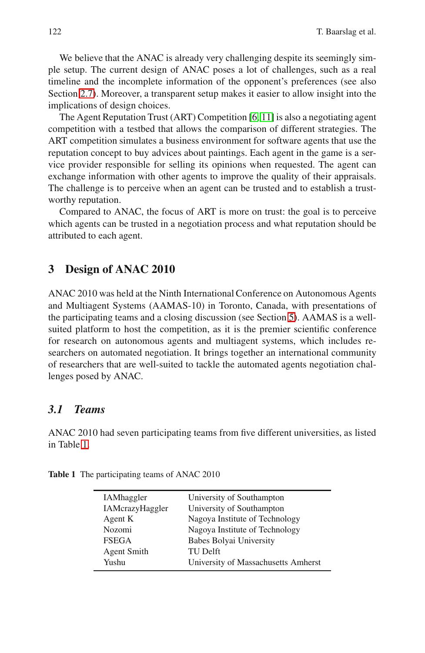We believe that the ANAC is already very challenging despite its seemingly simple setup. The current design of ANAC poses a lot of challenges, such as a real timeline and the incomplete information of the opponent's preferences (see also Section 2.7). Moreover, a transparent setup makes it easier to allow insight into the implications of design choices.

The Agent Reputation Trust (ART) Competition [6, 11] is also a negotiating agent competition with a testbed that allows the comparison of different strategies. The ART competition simulates a business environment for software agents that use the reputation concept to buy advices about paintings. Each agent in the game is a service provider responsible for selling its opinions when requested. The agent can exchange information with other agents to improve the quality of their appraisals. The challenge is to perceive when an agent can be trusted and to establish a trustworthy reputation.

Compared to ANAC, the focus of ART is more on trust: the goal is to perceive which agents can be trusted in a negoti[atio](#page--1-4)n process and what reputation should be attributed to each agent.

# **3 Design of ANAC 2010**

ANAC 2010 was held at the Ninth International Conference on Autonomous Agents and Multiagent Systems (AAMAS-10) in Toronto, Canada, with presentations of the participating teams and a closing discussion (see Section 5). AAMAS is a wellsuited platform to host the competition, as it is the premier scientific conference for research on autonomous agents and multiagent systems, which includes researchers on automated negotiation. It brings together an international community of researchers that are well-suited to tackle the automated agents negotiation challenges posed by ANAC.

### *3.1 Teams*

ANAC 2010 had seven participating teams from five different universities, as listed in Table 1.

**Table 1** The participating teams of ANAC 2010

| IAMhaggler             | University of Southampton           |
|------------------------|-------------------------------------|
| <b>IAMcrazyHaggler</b> | University of Southampton           |
| Agent K                | Nagoya Institute of Technology      |
| Nozomi                 | Nagoya Institute of Technology      |
| <b>FSEGA</b>           | Babes Bolyai University             |
| <b>Agent Smith</b>     | <b>TU</b> Delft                     |
| Yushu                  | University of Massachusetts Amherst |
|                        |                                     |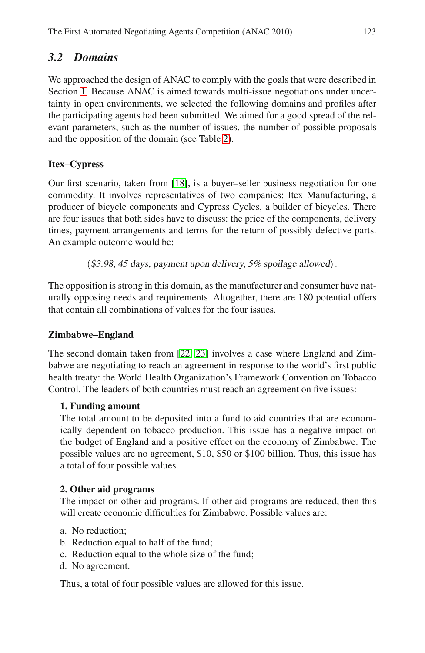# *3.2 Domains*

We approached the design of ANAC to comply with the goals that were described in Section 1. [Bec](#page-21-8)ause ANAC is aimed towards multi-issue negotiations under uncertainty in open environments, we selected the following domains and profiles after the participating agents had been submitted. We aimed for a good spread of the relevant parameters, such as the number of issues, the number of possible proposals and the opposition of the domain (see Table 2).

#### **Itex–Cypress**

Our first scenario, taken from [18], is a buyer–seller business negotiation for one commodity. It involves representatives of two companies: Itex Manufacturing, a producer of bicycle components and Cypress Cycles, a builder of bicycles. There are four issues that both sides have to discuss: the price of the components, delivery times, payment arrangements and terms for the return of possibly defective parts. An example outcome would be:

#### (\$[3.98](#page-21-4), [45](#page-21-15) days, payment upon delivery, 5% spoilage allowed).

<span id="page-10-0"></span>The opposition is strong in this domain, as the manufacturer and consumer have naturally opposing needs and requirements. Altogether, there are 180 potential offers that contain all combinations of values for the four issues.

#### **Zimbabwe–England**

The second domain taken from [22, 23] involves a case where England and Zimbabwe are negotiating to reach an agreement in response to the world's first public health treaty: the World Health Organization's Framework Convention on Tobacco Control. The leaders of both countries must reach an agreement on five issues:

#### **1. Funding amount**

The total amount to be deposited into a fund to aid countries that are economically dependent on tobacco production. This issue has a negative impact on the budget of England and a positive effect on the economy of Zimbabwe. The possible values are no agreement, \$10, \$50 or \$100 billion. Thus, this issue has a total of four possible values.

#### **2. Other aid programs**

The impact on other aid programs. If other aid programs are reduced, then this will create economic difficulties for Zimbabwe. Possible values are:

- a. No reduction;
- b. Reduction equal to half of the fund;
- c. Reduction equal to the whole size of the fund;
- d. No agreement.

Thus, a total of four possible values are allowed for this issue.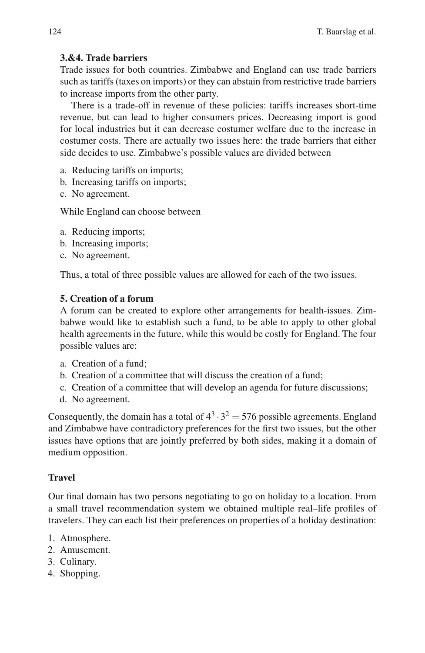# **3.&4. Trade barriers**

Trade issues for both countries. Zimbabwe and England can use trade barriers such as tariffs (taxes on imports) or they can abstain from restrictive trade barriers to increase imports from the other party.

There is a trade-off in revenue of these policies: tariffs increases short-time revenue, but can lead to higher consumers prices. Decreasing import is good for local industries but it can decrease costumer welfare due to the increase in costumer costs. There are actually two issues here: the trade barriers that either side decides to use. Zimbabwe's possible values are divided between

- a. Reducing tariffs on imports;
- b. Increasing tariffs on imports;
- c. No agreement.

While England can choose between

- a. Reducing imports;
- b. Increasing imports;
- c. No agreement.

Thus, a total of three possible values are allowed for each of the two issues.

# **5. Creation of a forum**

A forum can be created to explore other arrangements for health-issues. Zimbabwe would like to establish such a fund, to be able to apply to other global health agreements in the future, while this would be costly for England. The four possible values are:

- a. Creation of a fund;
- b. Creation of a committee that will discuss the creation of a fund;
- c. Creation of a committee that will develop an agenda for future discussions;
- d. No agreement.

Consequently, the domain has a total of  $4^3 \cdot 3^2 = 576$  possible agreements. England and Zimbabwe have contradictory preferences for the first two issues, but the other issues have options that are jointly preferred by both sides, making it a domain of medium opposition.

# **Travel**

Our final domain has two persons negotiating to go on holiday to a location. From a small travel recommendation system we obtained multiple real–life profiles of travelers. They can each list their preferences on properties of a holiday destination:

- 1. Atmosphere.
- 2. Amusement.
- 3. Culinary.
- 4. Shopping.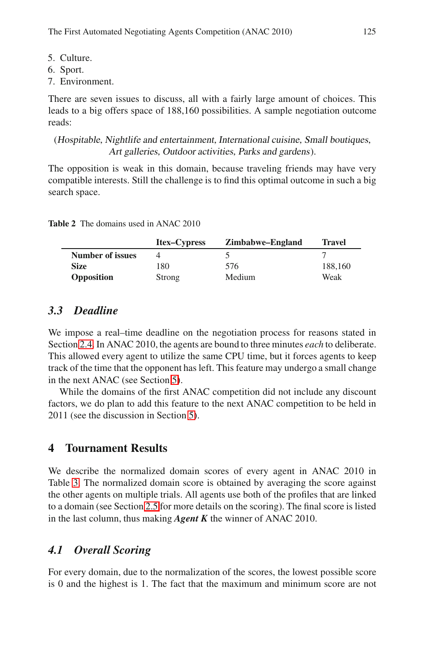- 5. Culture.
- 6. Sport.
- 7. Environment.

There are seven issues to discuss, all with a fairly large amount of choices. This leads to a big offers space of 188,160 possibilities. A sample negotiation outcome reads:

(Hospitable, Nightlife and entertainment, International cuisine, Small boutiques, Art galleries, Outdoor activities, Parks and gardens).

The opposition is weak in this domain, because traveling friends may have very compatible interests. Still the challenge is to find this optimal outcome in such a big search space.

**Table 2** The domains used in ANAC 2010

|                   | Itex-Cypress | Zimbabwe-England | <b>Travel</b> |
|-------------------|--------------|------------------|---------------|
| Number of issues  |              |                  |               |
| Size              | 180          | 576              | 188,160       |
| <b>Opposition</b> | Strong       | Medium           | Weak          |

# *3.3 Deadline*

We impose a [rea](#page--1-4)l–time deadline on the negotiation process for reasons stated in Section 2.4. In ANAC 2010, the agents are bound to three minutes *each* to deliberate. This allowed every agent to utilize the same CPU time, but it forces agents to keep track of the time that the opponent has left. This feature may undergo a small change in the next ANAC (see Section 5).

While the domains of the first ANAC competition did not include any discount factors, we do plan to add this feature to the next ANAC competition to be held in 20[11 \(se](#page-5-0)e the discussion in Section 5).

# **4 Tournament Results**

We describe the normalized domain scores of every agent in ANAC 2010 in Table 3. The normalized domain score is obtained by averaging the score against the other agents on multiple trials. All agents use both of the profiles that are linked to a domain (see Section 2.5 for more details on the scoring). The final score is listed in the last column, thus making *Agent K* the winner of ANAC 2010.

## *4.1 Overall Scoring*

For every domain, due to the normalization of the scores, the lowest possible score is 0 and the highest is 1. The fact that the maximum and minimum score are not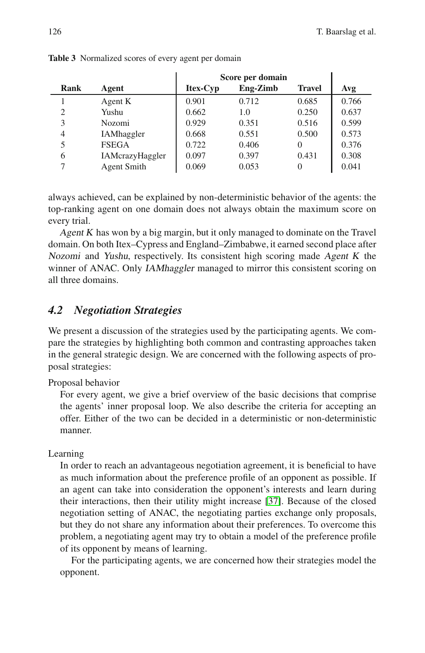|      |                    | Score per domain |          |               |       |
|------|--------------------|------------------|----------|---------------|-------|
| Rank | Agent              | <b>Itex-Cyp</b>  | Eng-Zimb | <b>Travel</b> | Avg   |
|      | Agent K            | 0.901            | 0.712    | 0.685         | 0.766 |
| 2    | Yushu              | 0.662            | 1.0      | 0.250         | 0.637 |
| 3    | Nozomi             | 0.929            | 0.351    | 0.516         | 0.599 |
| 4    | IAMhaggler         | 0.668            | 0.551    | 0.500         | 0.573 |
| 5    | <b>FSEGA</b>       | 0.722            | 0.406    | $\Omega$      | 0.376 |
| 6    | IAMcrazyHaggler    | 0.097            | 0.397    | 0.431         | 0.308 |
|      | <b>Agent Smith</b> | 0.069            | 0.053    | $\Omega$      | 0.041 |

**Table 3** Normalized scores of every agent per domain

always achieved, can be explained by non-deterministic behavior of the agents: the top-ranking agent on one domain does not always obtain the maximum score on every trial.

Agent <sup>K</sup> has won by a big margin, but it only managed to dominate on the Travel domain. On both Itex–Cypress and England–Zimbabwe, it earned second place after Nozomi and Yushu, respectively. Its consistent high scoring made Agent <sup>K</sup> the winner of ANAC. Only IAMhaggler managed to mirror this consistent scoring on all three domains.

## *4.2 Negotiation Strategies*

We present a discussion of the strategies used by the participating agents. We compare the strategies by highlighting both common and contrasting approaches taken in the general strategic design. We are concerned with the following aspects of proposal strategies:

#### Proposal behavior

For every agent, we give a brief overview of the basic decisions that comprise the agents' inner proposal loo[p. W](#page-22-6)e also describe the criteria for accepting an offer. Either of the two can be decided in a deterministic or non-deterministic manner.

Learning

In order to reach an advantageous negotiation agreement, it is beneficial to have as much information about the preference profile of an opponent as possible. If an agent can take into consideration the opponent's interests and learn during their interactions, then their utility might increase [37]. Because of the closed negotiation setting of ANAC, the negotiating parties exchange only proposals, but they do not share any information about their preferences. To overcome this problem, a negotiating agent may try to obtain a model of the preference profile of its opponent by means of learning.

For the participating agents, we are concerned how their strategies model the opponent.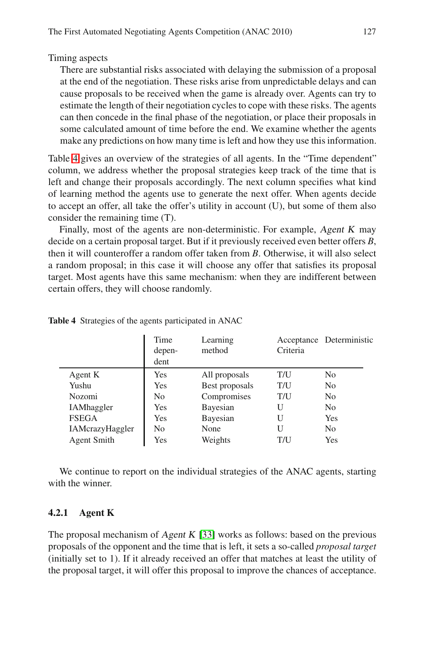#### Timing aspects

There are substantial risks associated with delaying the submission of a proposal at the end of the negotiation. These risks arise from unpredictable delays and can cause proposals to be received when the game is already over. Agents can try to estimate the length of their negotiation cycles to cope with these risks. The agents can then concede in the final phase of the negotiation, or place their proposals in some calculated amount of time before the end. We examine whether the agents make any predictions on how many time is left and how they use this information.

Table 4 gives an overview of the strategies of all agents. In the "Time dependent" column, we address whether the proposal strategies keep track of the time that is left and change their proposals accordingly. The next column specifies what kind of learning method the agents use to generate the next offer. When agents decide to accept an offer, all take the offer's utility in account (U), but some of them also consider the remaining time (T).

Finally, most of the agents are non-deterministic. For example, Agent K may decide on a certain proposal target. But if it previously received even better offers *B*, then it will counteroffer a random offer taken from *B*. Otherwise, it will also select a random proposal; in this case it will choose any offer that satisfies its proposal target. Most agents have this same mechanism: when they are indifferent between certain offers, they will choose randomly.

|                        | Time<br>depen-<br>dent | Learning<br>method | Criteria | Acceptance Deterministic |
|------------------------|------------------------|--------------------|----------|--------------------------|
| Agent K                | <b>Yes</b>             | All proposals      | T/U      | No.                      |
| Yushu                  | <b>Yes</b>             | Best proposals     | T/U      | No.                      |
| Nozomi                 | No                     | Compromises        | T/I      | No.                      |
| IAMhaggler             | Yes                    | Bayesian           | U        | No.                      |
| <b>FSEGA</b>           | <b>Yes</b>             | Bayesian           | U        | <b>Yes</b>               |
| <b>IAMcrazyHaggler</b> | N <sub>0</sub>         | None               | U        | No.                      |
| Agent Smith            | <b>Yes</b>             | Weights            | T/U      | <b>Yes</b>               |

**Table 4** Strategies of the agents participated in ANAC

We continue to report on the individual strategies of the ANAC agents, starting with the winner.

### **4.2.1 Agent K**

The proposal mechanism of Agent K  $[33]$  works as follows: based on the previous proposals of the opponent and the time that is left, it sets a so-called *proposal target* (initially set to 1). If it already received an offer that matches at least the utility of the proposal target, it will offer this proposal to improve the chances of acceptance.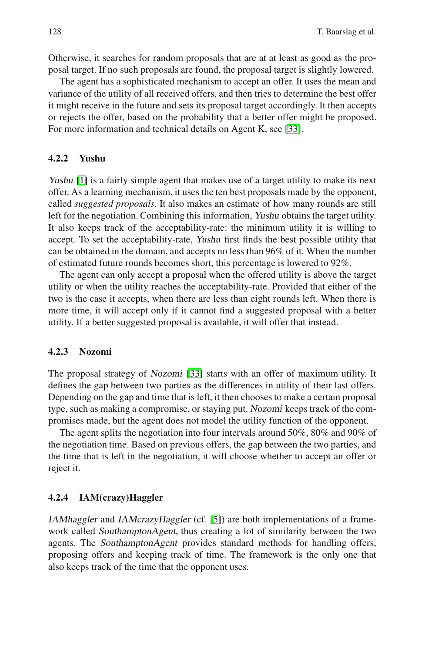Otherwise, it searches for random proposals that are at at least as good as the proposal target. If no such proposals are found, the proposal target is slightly lowered.

The agent has a sophisticated mechanism to accept an offer. It uses the mean and variance of the utility of all received offers, and then tries to determine the best offer it might receive in the future and sets its proposal target accordingly. It then accepts or rejects the offer, based on the probability that a better offer might be proposed. For more information and technical details on Agent K, see [33].

#### **4.2.2 Yushu**

Yushu [1] is a fairly simple agent that makes use of a target utility to make its next offer. As a learning mechanism, it uses the ten best proposals made by the opponent, called *suggested proposals*. It also makes an estimate of how many rounds are still left for the negotiation. Combining this information, Yushu obtains the target utility. It also keeps track of the acceptability-rate: the minimum utility it is willing to accept. To set the acceptability-rate, Yushu first finds the best possible utility that can be obtained in the domain, and accepts no less than 96% of it. When the number of estimated future rounds becomes short, this percentage is lowered to 92%.

The agent can only accept a proposal when the offered utility is above the target utility or when [the](#page-22-7) utility reaches the acceptability-rate. Provided that either of the two is the case it accepts, when there are less than eight rounds left. When there is more time, it will accept only if it cannot find a suggested proposal with a better utility. If a better suggested proposal is available, it will offer that instead.

#### **4.2.3 Nozomi**

<span id="page-15-0"></span>The proposal strategy of Nozomi [33] starts with an offer of maximum utility. It defines the gap between two parties as the differences in utility of their last offers. Depending on the gap and time that is left, it then chooses to make a certain proposal type, such as making a compromise, or staying put. Nozomi keeps track of the compromises made, but the agent does not model the utility function of the opponent.

The agent splits t[he](#page-20-1) negotiation into four intervals around 50%, 80% and 90% of the negotiation time. Based on previous offers, the gap between the two parties, and the time that is left in the negotiation, it will choose whether to accept an offer or reject it.

### **4.2.4 IAM(crazy)Haggler**

IAMhaggler and IAMcrazyHaggler (cf. [5]) are both implementations of a framework called SouthamptonAgent, thus creating a lot of similarity between the two agents. The SouthamptonAgent provides standard methods for handling offers, proposing offers and keeping track of time. The framework is the only one that also keeps track of the time that the opponent uses.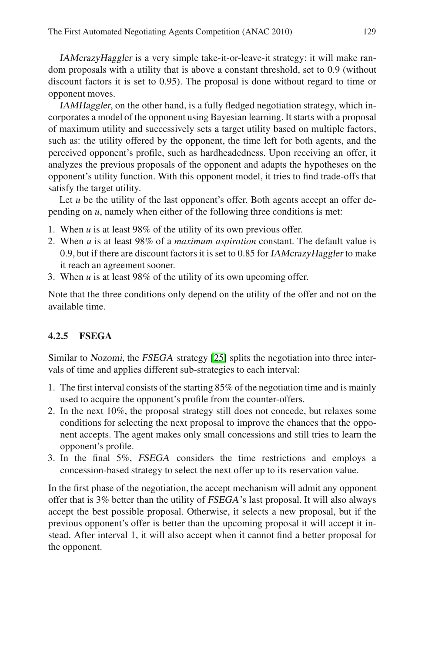IAMcrazyHaggler is a very simple take-it-or-leave-it strategy: it will make random proposals with a utility that is above a constant threshold, set to 0.9 (without discount factors it is set to 0.95). The proposal is done without regard to time or opponent moves.

IAMHaggler, on the other hand, is a fully fledged negotiation strategy, which incorporates a model of the opponent using Bayesian learning. It starts with a proposal of maximum utility and successively sets a target utility based on multiple factors, such as: the utility offered by the opponent, the time left for both agents, and the perceived opponent's profile, such as hardheadedness. Upon receiving an offer, it analyzes the previous proposals of the opponent and adapts the hypotheses on the opponent's utility function. With this opponent model, it tries to find trade-offs that satisfy the target utility.

Let *u* be the utility of the last opponent's offer. Both agents accept an offer depending on *u*, namely when either of the following three conditions is met:

- 1. When *u* is at least 98% of the utility of its own previous offer.
- 2. When *u* is at least 98% of a *maximum aspiration* constant. The default value is 0.9, but if there are discount factors it is set to 0.85 for IAMcrazyHaggler to make it reach an agree[ment](#page-22-8) sooner.
- 3. When *u* is at least 98% of the utility of its own upcoming offer.

Note that the three conditions only depend on the utility of the offer and not on the available time.

# **4.2.5 FSEGA**

Similar to Nozomi, the FSEGA strategy [25] splits the negotiation into three intervals of time and applies different sub-strategies to each interval:

- 1. The first interval consists of the starting 85% of the negotiation time and is mainly used to acquire the opponent's profile from the counter-offers.
- 2. In the next 10%, the proposal strategy still does not concede, but relaxes some conditions for selecting the next proposal to improve the chances that the opponent accepts. The agent makes only small concessions and still tries to learn the opponent's profile.
- 3. In the final 5%, FSEGA considers the time restrictions and employs a concession-based strategy to select the next offer up to its reservation value.

In the first phase of the negotiation, the accept mechanism will admit any opponent offer that is 3% better than the utility of FSEGA's last proposal. It will also always accept the best possible proposal. Otherwise, it selects a new proposal, but if the previous opponent's offer is better than the upcoming proposal it will accept it instead. After interval 1, it will also accept when it cannot find a better proposal for the opponent.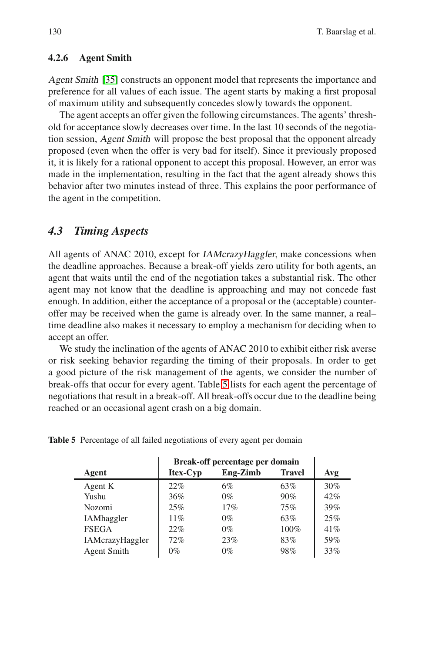130 T. Baarslag et al.

#### **4.2.6 Agent Smith**

Agent Smith [35] constructs an opponent model that represents the importance and preference for all values of each issue. The agent starts by making a first proposal of maximum utility and subsequently concedes slowly towards the opponent.

The agent accepts an offer given the following circumstances. The agents' threshold for acceptance slowly decreases over time. In the last 10 seconds of the negotiation session, Agent Smith will propose the best proposal that the opponent already proposed (even when the offer is very bad for itself). Since it previously proposed it, it is likely for a rational opponent to accept this proposal. However, an error was made in the implementation, resulting in the fact that the agent already shows this behavior after two minutes instead of three. This explains the poor performance of the agent in the competition.

### *4.3 Timing Aspects*

All agents of ANAC 2010, except for *IAMcrazyHaggler*, make concessions when the deadline approaches. Because a break-off yields zero utility for both agents, an agent that waits until the end of the negotiation takes a substantial risk. The other agent may not know t[ha](#page--1-5)t the deadline is approaching and may not concede fast enough. In addition, either the acceptance of a proposal or the (acceptable) counteroffer may be received when the game is already over. In the same manner, a real– time deadline also makes it necessary to employ a mechanism for deciding when to accept an offer.

We study the inclination of the agents of ANAC 2010 to exhibit either risk averse or risk seeking behavior regarding the timing of their proposals. In order to get a good picture of the risk management of the agents, we consider the number of break-offs that occur for every agent. Table 5 lists for each agent the percentage of negotiations that result in a break-off. All break-offs occur due to the deadline being reached or an occasional agent crash on a big domain.

|                        | Break-off percentage per domain |          |               |     |
|------------------------|---------------------------------|----------|---------------|-----|
| Agent                  | <b>Itex-Cyp</b>                 | Eng-Zimb | <b>Travel</b> | Avg |
| Agent K                | 22%                             | 6%       | 63%           | 30% |
| Yushu                  | 36%                             | $0\%$    | 90%           | 42% |
| Nozomi                 | 25%                             | 17%      | 75%           | 39% |
| <b>IAMhaggler</b>      | 11%                             | $0\%$    | 63%           | 25% |
| <b>FSEGA</b>           | 22%                             | $0\%$    | 100%          | 41% |
| <b>IAMcrazyHaggler</b> | 72%                             | 23%      | 83%           | 59% |
| <b>Agent Smith</b>     | $0\%$                           | $0\%$    | 98%           | 33% |

Table 5 Percentage of all failed negotiations of every agent per domain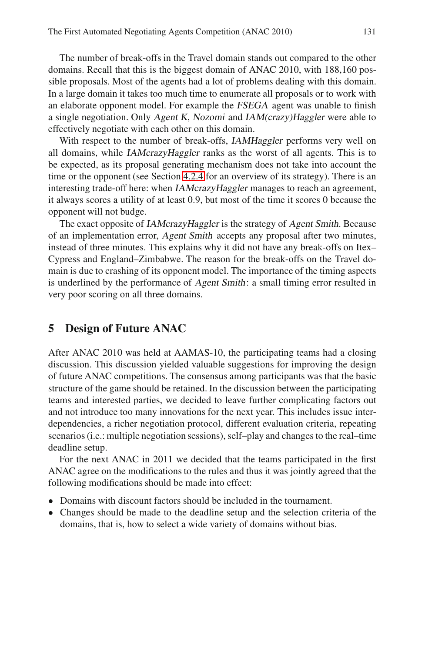The number of break-offs in the Travel domain stands out compared to the other domains. Recall that this is the biggest domain of ANAC 2010, with 188,160 possible propos[als. Mo](#page-15-0)st of the agents had a lot of problems dealing with this domain. In a large domain it takes too much time to enumerate all proposals or to work with an elaborate opponent model. For example the FSEGA agent was unable to finish a single negotiation. Only Agent <sup>K</sup>, Nozomi and IAM(crazy)Haggler were able to effectively negotiate with each other on this domain.

With respect to the number of break-offs, IAMHaggler performs very well on all domains, while IAMcrazyHaggler ranks as the worst of all agents. This is to be expected, as its proposal generating mechanism does not take into account the time or the opponent (see Section 4.2.4 for an overview of its strategy). There is an interesting trade-off here: when IAMcrazyHaggler manages to reach an agreement, it always scores a utility of at least 0.9, but most of the time it scores 0 because the opponent will not budge.

The exact opposite of IAMcrazyHaggler is the strategy of Agent Smith. Because of an implementation error, Agent Smith accepts any proposal after two minutes, instead of three minutes. This explains why it did not have any break-offs on Itex– Cypress and England–Zimbabwe. The reason for the break-offs on the Travel domain is due to crashing of its opponent model. The importance of the timing aspects is underlined by the performance of Agent Smith: a small timing error resulted in very poor scoring on all three domains.

# **5 Design of Future ANAC**

After ANAC 2010 was held at AAMAS-10, the participating teams had a closing discussion. This discussion yielded valuable suggestions for improving the design of future ANAC competitions. The consensus among participants was that the basic structure of the game should be retained. In the discussion between the participating teams and interested parties, we decided to leave further complicating factors out and not introduce too many innovations for the next year. This includes issue interdependencies, a richer negotiation protocol, different evaluation criteria, repeating scenarios (i.e.: multiple negotiation sessions), self–play and changes to the real–time deadline setup.

For the next ANAC in 2011 we decided that the teams participated in the first ANAC agree on the modifications to the rules and thus it was jointly agreed that the following modifications should be made into effect:

- Domains with discount factors should be included in the tournament.
- Changes should be made to the deadline setup and the selection criteria of the domains, that is, how to select a wide variety of domains without bias.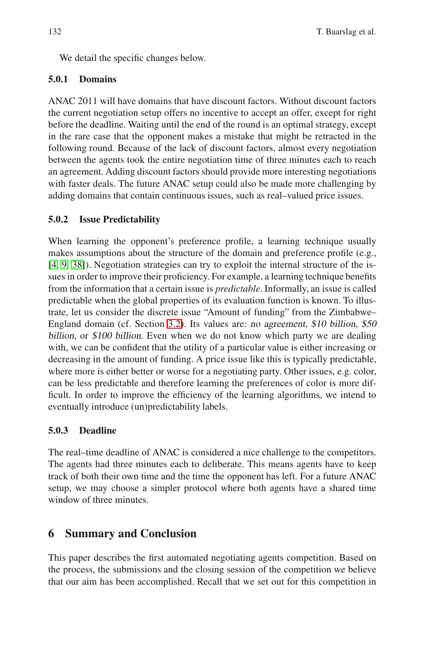132 T. Baarslag et al.

We detail the specific changes below.

### **5.0.1 Domains**

ANAC 2011 will have domains that have discount factors. Without discount factors the current negotiation setup offers no incentive to accept an offer, except for right before the deadline. Waiting until the end of the round is an optimal strategy, except in the rare case that the opponent makes a mistake that might be retracted in the following round. Because of the lack of discount factors, almost every negotiation between the agents took the entire negotiation time of three minutes each to reach an agreement. Adding discount factors should provide more interesting negotiations with faster deals. The future ANAC setup could also be made more challenging by adding domains that contain continuous issues, such as real–valued price issues.

#### **5.0.2 Issue Predictability**

When le[arnin](#page-10-0)g the opponent's preference profile, a learning technique usually makes assumptions about the structure of the domain and preference profile (e.g., [4, 9, 38]). Negotiation strategies can try to exploit the internal structure of the issues in order to improve their proficiency. For example, a learning technique benefits from the information that a certain issue is *predictable*. Informally, an issue is called predictable when the global properties of its evaluation function is known. To illustrate, let us consider the discrete issue "Amount of funding" from the Zimbabwe– England domain (cf. Section 3.2). Its values are: no agreement, \$10 billion, \$50 billion, or \$100 billion. Even when we do not know which party we are dealing with, we can be confident that the utility of a particular value is either increasing or decreasing in the amount of funding. A price issue like this is typically predictable, where more is either better or worse for a negotiating party. Other issues, e.g. color, can be less predictable and therefore learning the preferences of color is more difficult. In order to improve the efficiency of the learning algorithms, we intend to eventually introduce (un)predictability labels.

#### **5.0.3 Deadline**

The real–time deadline of ANAC is considered a nice challenge to the competitors. The agents had three minutes each to deliberate. This means agents have to keep track of both their own time and the time the opponent has left. For a future ANAC setup, we may choose a simpler protocol where both agents have a shared time window of three minutes.

### **6 Summary and Conclusion**

This paper describes the first automated negotiating agents competition. Based on the process, the submissions and the closing session of the competition we believe that our aim has been accomplished. Recall that we set out for this competition in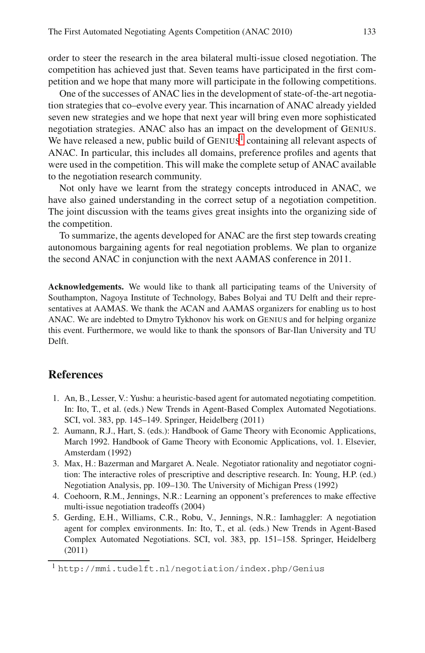order to steer the research [in](#page-20-2) the area bilateral multi-issue closed negotiation. The competition has achieved just that. Seven teams have participated in the first competition and we hope that many more will participate in the following competitions.

One of the successes of ANAC lies in the development of state-of-the-art negotiation strategies that co–evolve every year. This incarnation of ANAC already yielded seven new strategies and we hope that next year will bring even more sophisticated negotiation strategies. ANAC also has an impact on the development of GENIUS. We have released a new, public build of  $GENIUS<sup>1</sup>$  containing all relevant aspects of ANAC. In particular, this includes all domains, preference profiles and agents that were used in the competition. This will make the complete setup of ANAC available to the negotiation research community.

Not only have we learnt from the strategy concepts introduced in ANAC, we have also gained understanding in the correct setup of a negotiation competition. The joint discussion with the teams gives great insights into the organizing side of the competition.

To summarize, the agents developed for ANAC are the first step towards creating autonomous bargaining agents for real negotiation problems. We plan to organize the second ANAC in conjunction with the next AAMAS conference in 2011.

**Acknowledgements.** We would like to thank all participating teams of the University of Southampton, Nagoya Institute of Technology, Babes Bolyai and TU Delft and their representatives at AAMAS. We thank the ACAN and AAMAS organizers for enabling us to host ANAC. We are indebted to Dmytro Tykhonov his work on GENIUS and for helping organize this event. Furthermore, we would like to thank the sponsors of Bar-Ilan University and TU Delft.

# <span id="page-20-0"></span>**References**

- 1. An, B., Lesser, V.: Yushu: a heuristic-based agent for automated negotiating competition. In: Ito, T., et al. (eds.) New Trends in Agent-Based Complex Automated Negotiations. SCI, vol. 383, pp. 145–149. Springer, Heidelberg (2011)
- <span id="page-20-1"></span>2. Aumann, R.J., Hart, S. (eds.): Handbook of Game Theory with Economic Applications, March 1992. Handbook of Game Theory with Economic Applications, vol. 1. Elsevier, Amsterdam (1992)
- 3. Max, H.: Bazerman and Margaret A. Neale. Negotiator rationality and negotiator cognition: The interactive roles of prescriptive and descriptive research. In: Young, H.P. (ed.) Negotiation Analysis, pp. 109–130. The University of Michigan Press (1992)
- <span id="page-20-2"></span>4. Coehoorn, R.M., Jennings, N.R.: Learning an opponent's preferences to make effective multi-issue negotiation tradeoffs (2004)
- 5. Gerding, E.H., Williams, C.R., Robu, V., Jennings, N.R.: Iamhaggler: A negotiation agent for complex environments. In: Ito, T., et al. (eds.) New Trends in Agent-Based Complex Automated Negotiations. SCI, vol. 383, pp. 151–158. Springer, Heidelberg (2011)

<sup>1</sup> http://mmi.tudelft.nl/negotiation/index.php/Genius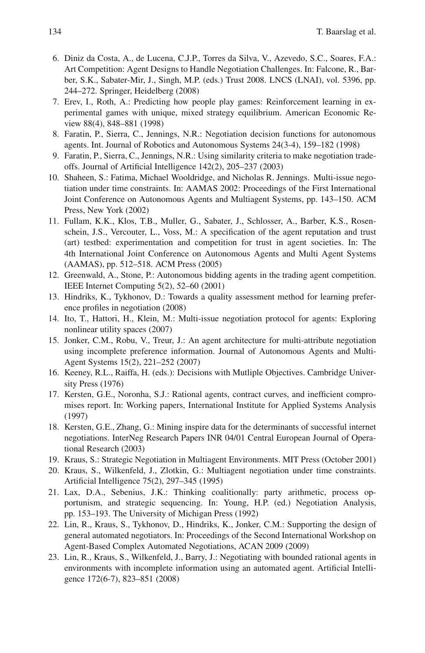- <span id="page-21-13"></span>6. Diniz da Costa, A., de Lucena, C.J.P., Torres da Silva, V., Azevedo, S.C., Soares, F.A.: Art Competition: Agent Designs to Handle Negotiation Challenges. In: Falcone, R., Barber, S.K., Sabater-Mir, J., Singh, M.P. (eds.) Trust 2008. LNCS (LNAI), vol. 5396, pp. 244–272. Springer, Heidelberg (2008)
- <span id="page-21-3"></span>7. Erev, I., Roth, A.: Predicting how people play games: Reinforcement learning in experimental games with unique, mixed strategy equilibrium. American Economic Review 88(4), 848–881 (1998)
- <span id="page-21-0"></span>8. Faratin, P., Sierra, C., Jennings, N.R.: Negotiation decision functions for autonomous agents. Int. Journal of Robotics and Autonomous Systems 24(3-4), 159–182 (1998)
- <span id="page-21-1"></span>9. Faratin, P., Sierra, C., Jennings, N.R.: Using similarity criteria to make negotiation tradeoffs. Journal of Artificial Intelligence 142(2), 205–237 (2003)
- <span id="page-21-5"></span>10. Shaheen, S.: Fatima, Michael Wooldridge, and Nicholas R. Jennings. Multi-issue negotiation under time constraints. In: AAMAS 2002: Proceedings of the First International Joint Conference on Autonomous Agents and Multiagent Systems, pp. 143–150. ACM Press, New York (2002)
- <span id="page-21-14"></span>11. Fullam, K.K., Klos, T.B., Muller, G., Sabater, J., Schlosser, A., Barber, K.S., Rosenschein, J.S., Vercouter, L., Voss, M.: A specification of the agent reputation and trust (art) testbed: experimentation and competition for trust in agent societies. In: The 4th International Joint Conference on Autonomous Agents and Multi Agent Systems (AAMAS), pp. 512–518. ACM Press (2005)
- <span id="page-21-12"></span>12. Greenwald, A., Stone, P.: Autonomous bidding agents in the trading agent competition. IEEE Internet Computing 5(2), 52–60 (2001)
- <span id="page-21-9"></span>13. Hindriks, K., Tykhonov, D.: Towards a quality assessment method for learning preference profiles in negotiation (2008)
- <span id="page-21-2"></span>14. Ito, T., Hattori, H., Klein, M.: Multi-issue negotiation protocol for agents: Exploring nonlinear utility spaces (2007)
- 15. Jonker, C.M., Robu, V., Treur, J.: An agent architecture for multi-attribute negotiation using incomplete preference information. Journal of Autonomous Agents and Multi-Agent Systems 15(2), 221–252 (2007)
- <span id="page-21-11"></span>16. Keeney, R.L., Raiffa, H. (eds.): Decisions with Mutliple Objectives. Cambridge University Press (1976)
- <span id="page-21-10"></span>17. Kersten, G.E., Noronha, S.J.: Rational agents, contract curves, and inefficient compromises report. In: Working papers, International Institute for Applied Systems Analysis (1997)
- <span id="page-21-8"></span>18. Kersten, G.E., Zhang, G.: Mining inspire data for the determinants of successful internet negotiations. InterNeg Research Papers INR 04/01 Central European Journal of Operational Research (2003)
- <span id="page-21-7"></span><span id="page-21-6"></span>19. Kraus, S.: Strategic Negotiation in Multiagent Environments. MIT Press (October 2001)
- 20. Kraus, S., Wilkenfeld, J., Zlotkin, G.: Multiagent negotiation under time constraints. Artificial Intelligence 75(2), 297–345 (1995)
- 21. Lax, D.A., Sebenius, J.K.: Thinking coalitionally: party arithmetic, process opportunism, and strategic sequencing. In: Young, H.P. (ed.) Negotiation Analysis, pp. 153–193. The University of Michigan Press (1992)
- <span id="page-21-4"></span>22. Lin, R., Kraus, S., Tykhonov, D., Hindriks, K., Jonker, C.M.: Supporting the design of general automated negotiators. In: Proceedings of the Second International Workshop on Agent-Based Complex Automated Negotiations, ACAN 2009 (2009)
- <span id="page-21-15"></span>23. Lin, R., Kraus, S., Wilkenfeld, J., Barry, J.: Negotiating with bounded rational agents in environments with incomplete information using an automated agent. Artificial Intelligence 172(6-7), 823–851 (2008)